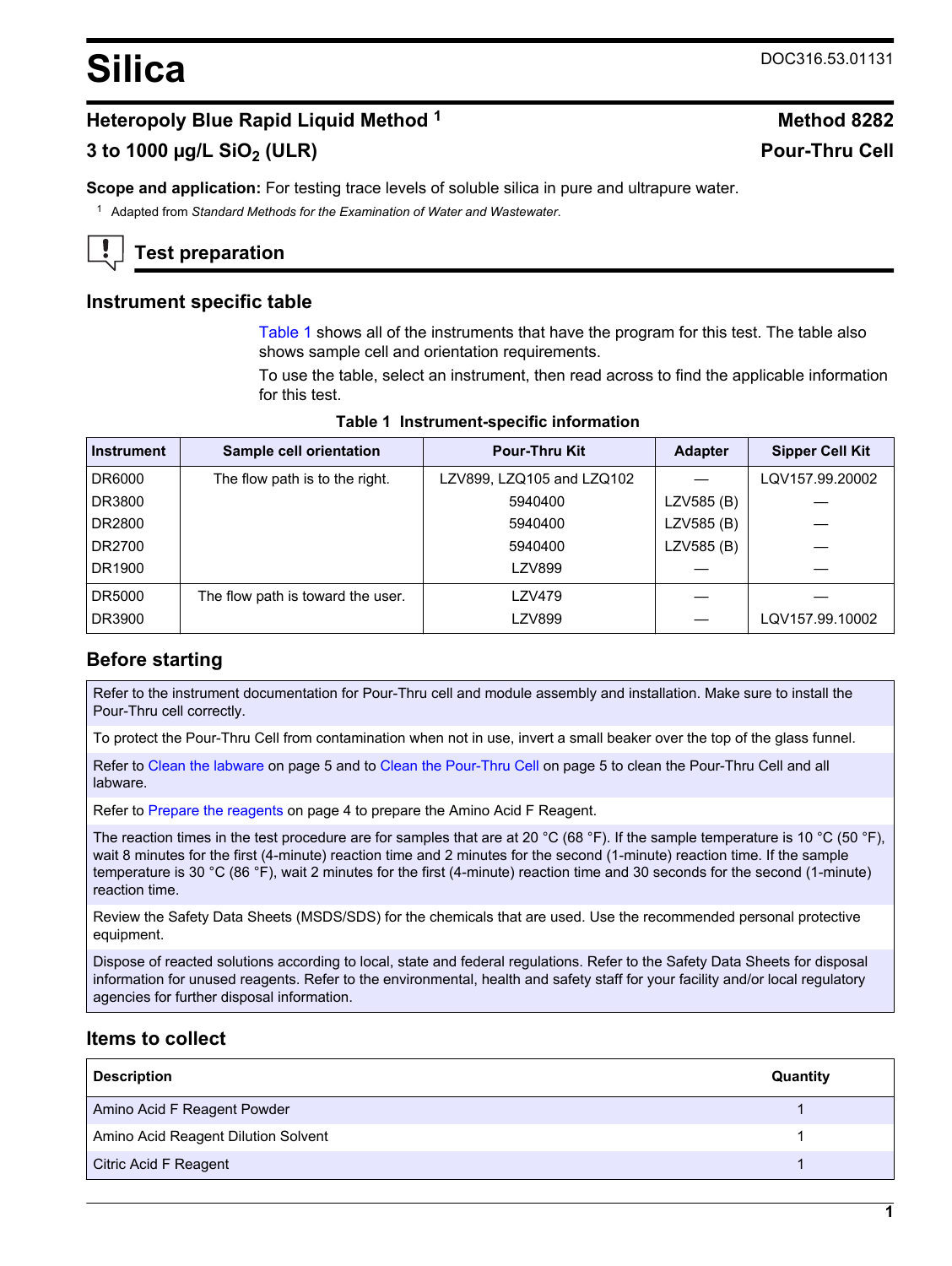# <span id="page-0-0"></span>**Heteropoly Blue Rapid Liquid Method <sup>1</sup> Method 8282**

# **3 to 1000 µg/L SiO2 (ULR) Pour-Thru Cell**

**Scope and application:** For testing trace levels of soluble silica in pure and ultrapure water.

<sup>1</sup> Adapted from *Standard Methods for the Examination of Water and Wastewater*.

# **Test preparation**

### **Instrument specific table**

Table 1 shows all of the instruments that have the program for this test. The table also shows sample cell and orientation requirements.

To use the table, select an instrument, then read across to find the applicable information for this test.

| <b>Instrument</b> | Sample cell orientation           | <b>Pour-Thru Kit</b>      | <b>Adapter</b> | <b>Sipper Cell Kit</b> |
|-------------------|-----------------------------------|---------------------------|----------------|------------------------|
| DR6000            | The flow path is to the right.    | LZV899, LZQ105 and LZQ102 |                | LQV157.99.20002        |
| DR3800            |                                   | 5940400                   | LZV585 (B)     |                        |
| DR2800            |                                   | 5940400                   | LZV585 (B)     |                        |
| DR2700            |                                   | 5940400                   | LZV585 (B)     |                        |
| DR1900            |                                   | LZV899                    |                |                        |
| DR5000            | The flow path is toward the user. | LZV479                    |                |                        |
| DR3900            |                                   | LZV899                    |                | LQV157.99.10002        |

#### **Table 1 Instrument-specific information**

## **Before starting**

Refer to the instrument documentation for Pour-Thru cell and module assembly and installation. Make sure to install the Pour-Thru cell correctly.

To protect the Pour-Thru Cell from contamination when not in use, invert a small beaker over the top of the glass funnel.

Refer to [Clean the labware](#page-4-0) on page 5 and to [Clean the Pour-Thru Cell](#page-4-0) on page 5 to clean the Pour-Thru Cell and all labware.

Refer to [Prepare the reagents](#page-3-0) on page 4 to prepare the Amino Acid F Reagent.

The reaction times in the test procedure are for samples that are at 20 °C (68 °F). If the sample temperature is 10 °C (50 °F), wait 8 minutes for the first (4-minute) reaction time and 2 minutes for the second (1-minute) reaction time. If the sample temperature is 30 °C (86 °F), wait 2 minutes for the first (4-minute) reaction time and 30 seconds for the second (1-minute) reaction time.

Review the Safety Data Sheets (MSDS/SDS) for the chemicals that are used. Use the recommended personal protective equipment.

Dispose of reacted solutions according to local, state and federal regulations. Refer to the Safety Data Sheets for disposal information for unused reagents. Refer to the environmental, health and safety staff for your facility and/or local regulatory agencies for further disposal information.

## **Items to collect**

| <b>Description</b>                  | Quantity |
|-------------------------------------|----------|
| Amino Acid F Reagent Powder         |          |
| Amino Acid Reagent Dilution Solvent |          |
| Citric Acid F Reagent               |          |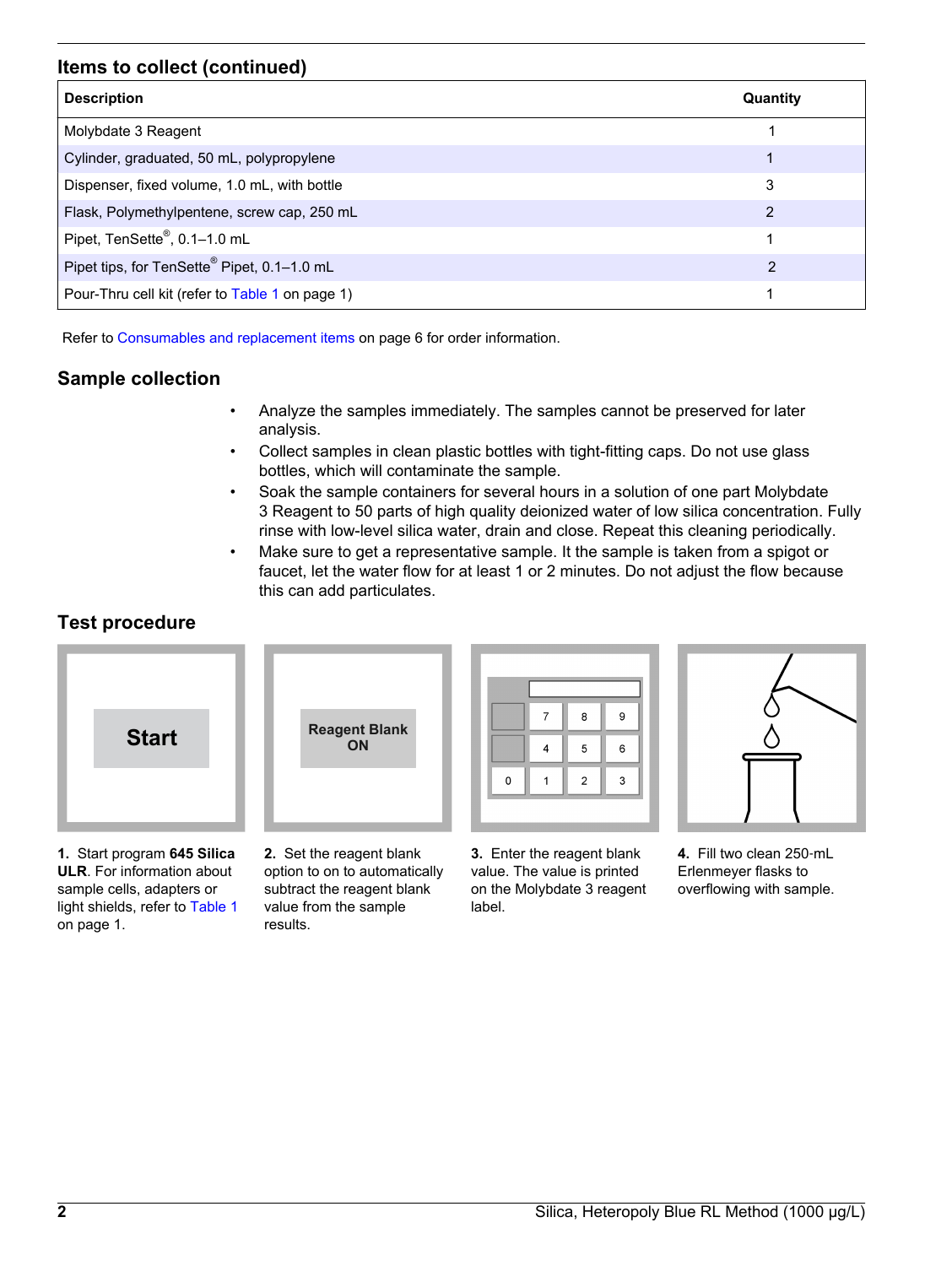## **Items to collect (continued)**

| <b>Description</b>                              | Quantity |
|-------------------------------------------------|----------|
| Molybdate 3 Reagent                             |          |
| Cylinder, graduated, 50 mL, polypropylene       |          |
| Dispenser, fixed volume, 1.0 mL, with bottle    | 3        |
| Flask, Polymethylpentene, screw cap, 250 mL     | 2        |
| Pipet, TenSette®, 0.1-1.0 mL                    |          |
| Pipet tips, for TenSette® Pipet, 0.1-1.0 mL     | 2        |
| Pour-Thru cell kit (refer to Table 1 on page 1) | 1        |

Refer to [Consumables and replacement items](#page-5-0) on page 6 for order information.

# **Sample collection**

- Analyze the samples immediately. The samples cannot be preserved for later analysis.
- Collect samples in clean plastic bottles with tight-fitting caps. Do not use glass bottles, which will contaminate the sample.
- Soak the sample containers for several hours in a solution of one part Molybdate 3 Reagent to 50 parts of high quality deionized water of low silica concentration. Fully rinse with low-level silica water, drain and close. Repeat this cleaning periodically.
- Make sure to get a representative sample. It the sample is taken from a spigot or faucet, let the water flow for at least 1 or 2 minutes. Do not adjust the flow because this can add particulates.

# **Test procedure**



**1.** Start program **645 Silica ULR**. For information about sample cells, adapters or light shields, refer to [Table 1](#page-0-0) on page 1.



**2.** Set the reagent blank option to on to automatically subtract the reagent blank value from the sample results.



**3.** Enter the reagent blank value. The value is printed on the Molybdate 3 reagent label.



**4.** Fill two clean 250‑mL Erlenmeyer flasks to overflowing with sample.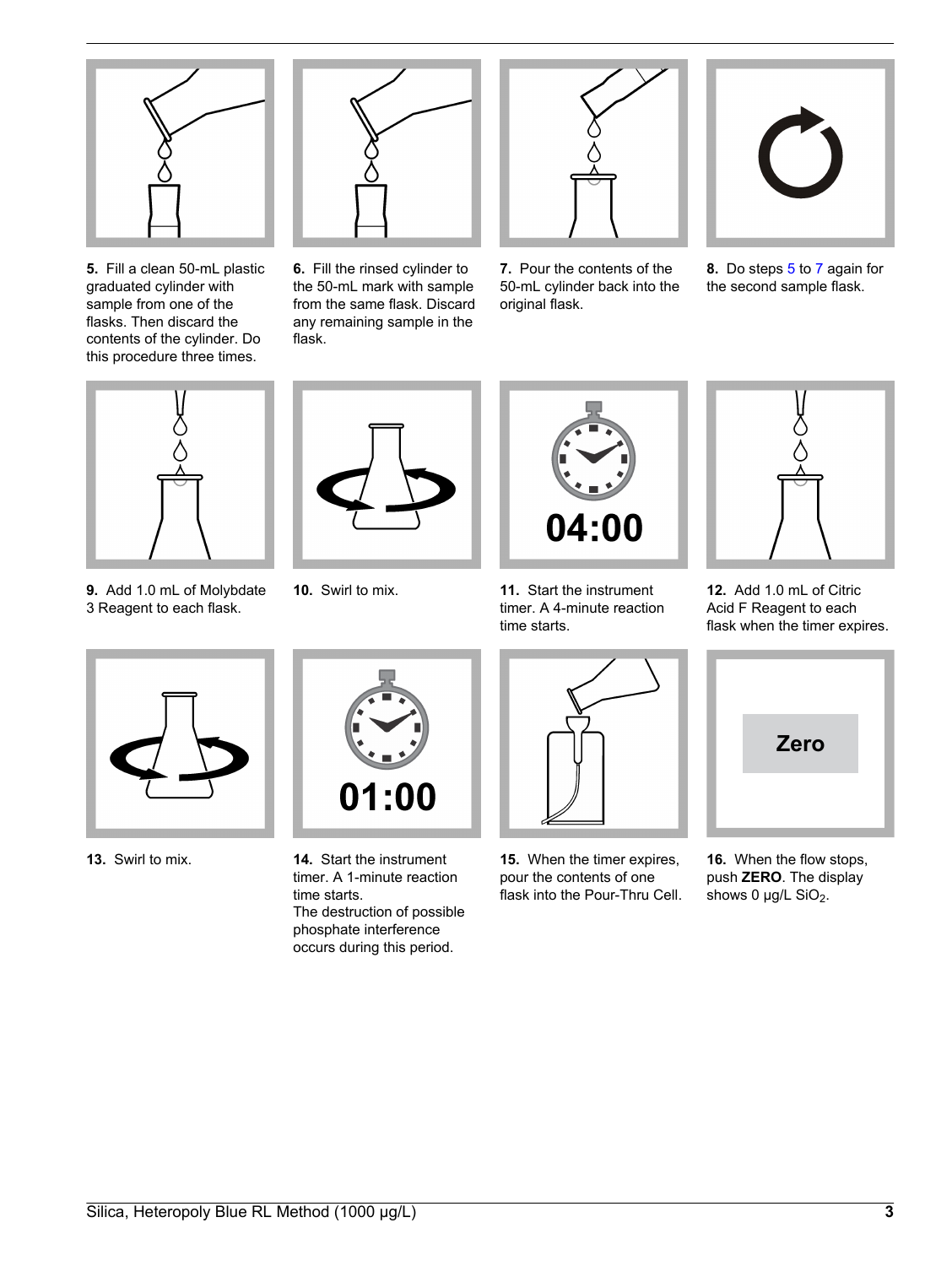

**5.** Fill a clean 50-mL plastic graduated cylinder with sample from one of the flasks. Then discard the contents of the cylinder. Do this procedure three times.



**6.** Fill the rinsed cylinder to the 50-mL mark with sample from the same flask. Discard any remaining sample in the flask.



**7.** Pour the contents of the 50-mL cylinder back into the original flask.



**8.** Do steps 5 to 7 again for the second sample flask.



**9.** Add 1.0 mL of Molybdate 3 Reagent to each flask.





**10.** Swirl to mix. **11.** Start the instrument timer. A 4-minute reaction time starts.



**12.** Add 1.0 mL of Citric Acid F Reagent to each flask when the timer expires.





**13.** Swirl to mix. **14.** Start the instrument timer. A 1-minute reaction time starts. The destruction of possible phosphate interference occurs during this period.

**15.** When the timer expires, pour the contents of one flask into the Pour-Thru Cell.



**16.** When the flow stops, push **ZERO**. The display shows 0  $\mu$ g/L SiO<sub>2</sub>.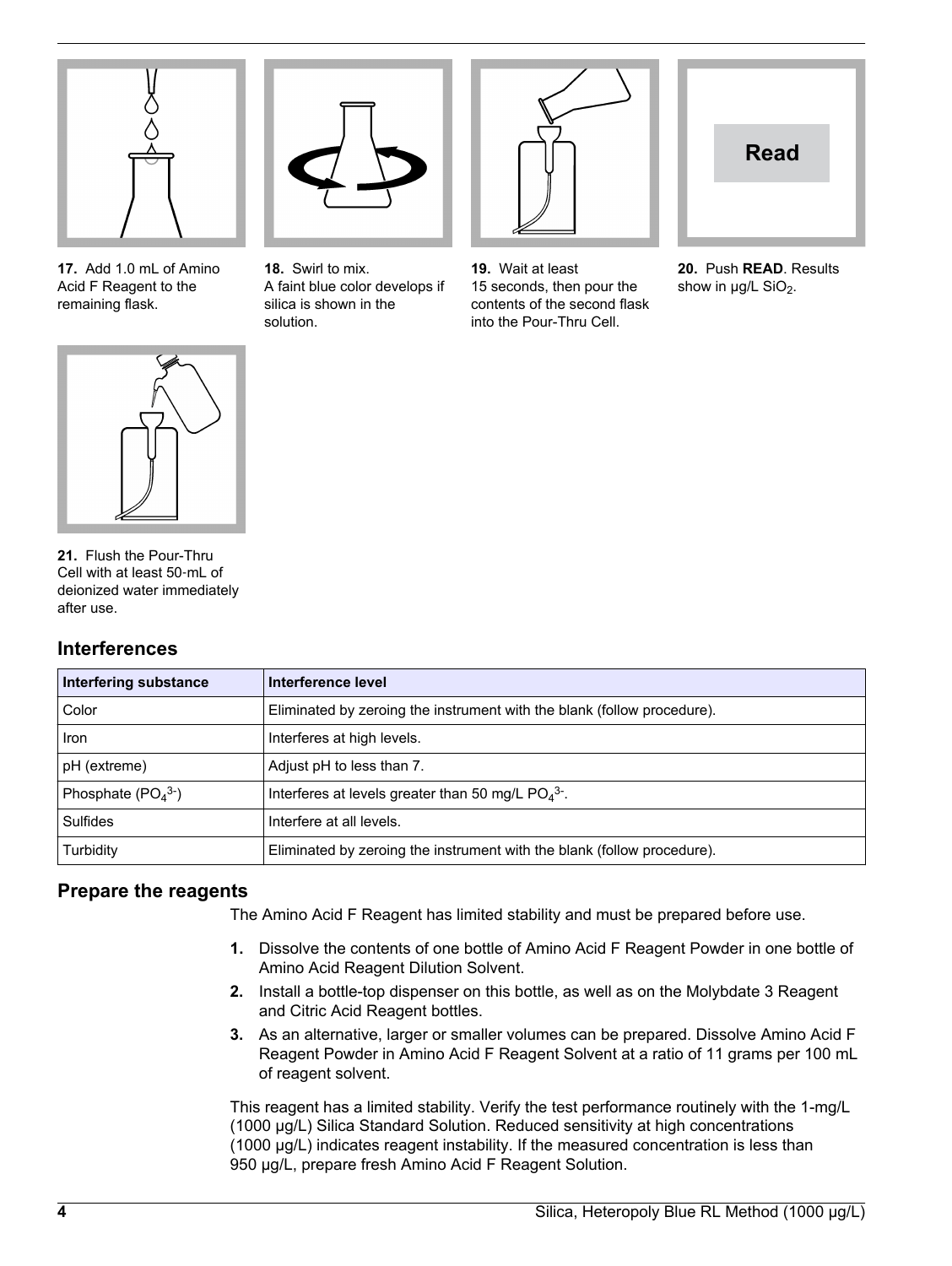<span id="page-3-0"></span>

**17.** Add 1.0 mL of Amino Acid F Reagent to the remaining flask.



**18.** Swirl to mix. A faint blue color develops if silica is shown in the solution.

**19.** Wait at least 15 seconds, then pour the contents of the second flask into the Pour-Thru Cell.



**20.** Push **READ**. Results show in  $\mu$ g/L SiO<sub>2</sub>.



**21.** Flush the Pour-Thru Cell with at least 50‑mL of deionized water immediately after use.

## **Interferences**

| <b>Interfering substance</b> | Interference level                                                      |
|------------------------------|-------------------------------------------------------------------------|
| Color                        | Eliminated by zeroing the instrument with the blank (follow procedure). |
| <b>Iron</b>                  | Interferes at high levels.                                              |
| pH (extreme)                 | Adjust pH to less than 7.                                               |
| Phosphate $(PO43-)$          | Interferes at levels greater than 50 mg/L $PO4$ <sup>3-</sup> .         |
| <b>Sulfides</b>              | Interfere at all levels.                                                |
| Turbidity                    | Eliminated by zeroing the instrument with the blank (follow procedure). |

# **Prepare the reagents**

The Amino Acid F Reagent has limited stability and must be prepared before use.

- **1.** Dissolve the contents of one bottle of Amino Acid F Reagent Powder in one bottle of Amino Acid Reagent Dilution Solvent.
- **2.** Install a bottle-top dispenser on this bottle, as well as on the Molybdate 3 Reagent and Citric Acid Reagent bottles.
- **3.** As an alternative, larger or smaller volumes can be prepared. Dissolve Amino Acid F Reagent Powder in Amino Acid F Reagent Solvent at a ratio of 11 grams per 100 mL of reagent solvent.

This reagent has a limited stability. Verify the test performance routinely with the 1-mg/L (1000 µg/L) Silica Standard Solution. Reduced sensitivity at high concentrations (1000 µg/L) indicates reagent instability. If the measured concentration is less than 950 µg/L, prepare fresh Amino Acid F Reagent Solution.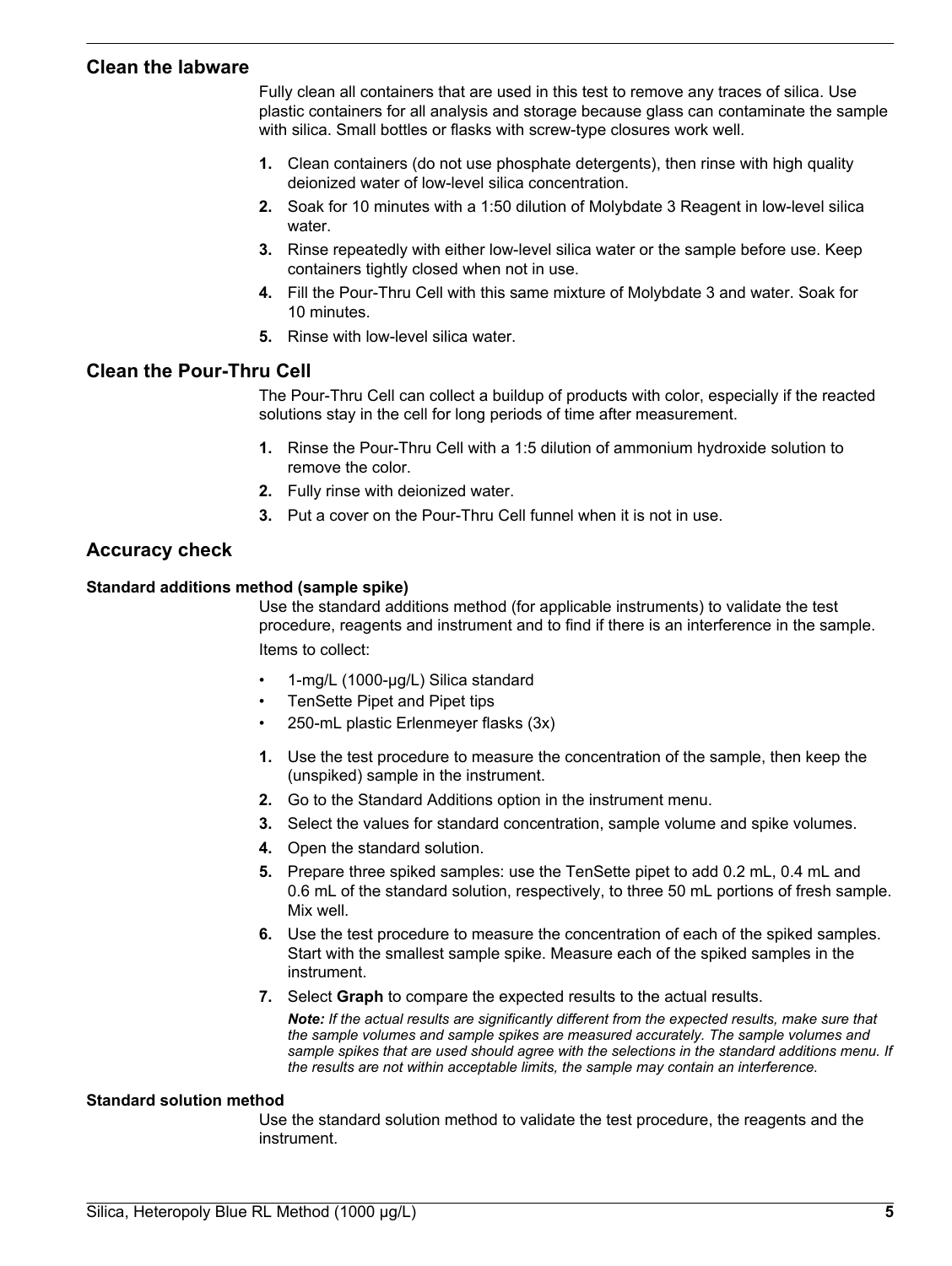#### <span id="page-4-0"></span>**Clean the labware**

Fully clean all containers that are used in this test to remove any traces of silica. Use plastic containers for all analysis and storage because glass can contaminate the sample with silica. Small bottles or flasks with screw-type closures work well.

- **1.** Clean containers (do not use phosphate detergents), then rinse with high quality deionized water of low-level silica concentration.
- **2.** Soak for 10 minutes with a 1:50 dilution of Molybdate 3 Reagent in low-level silica water.
- **3.** Rinse repeatedly with either low-level silica water or the sample before use. Keep containers tightly closed when not in use.
- **4.** Fill the Pour-Thru Cell with this same mixture of Molybdate 3 and water. Soak for 10 minutes.
- **5.** Rinse with low-level silica water.

### **Clean the Pour-Thru Cell**

The Pour-Thru Cell can collect a buildup of products with color, especially if the reacted solutions stay in the cell for long periods of time after measurement.

- **1.** Rinse the Pour-Thru Cell with a 1:5 dilution of ammonium hydroxide solution to remove the color.
- **2.** Fully rinse with deionized water.
- **3.** Put a cover on the Pour-Thru Cell funnel when it is not in use.

### **Accuracy check**

#### **Standard additions method (sample spike)**

Use the standard additions method (for applicable instruments) to validate the test procedure, reagents and instrument and to find if there is an interference in the sample. Items to collect:

- 1-mg/L (1000-µg/L) Silica standard
- TenSette Pipet and Pipet tips
- 250-mL plastic Erlenmeyer flasks (3x)
- **1.** Use the test procedure to measure the concentration of the sample, then keep the (unspiked) sample in the instrument.
- **2.** Go to the Standard Additions option in the instrument menu.
- **3.** Select the values for standard concentration, sample volume and spike volumes.
- **4.** Open the standard solution.
- **5.** Prepare three spiked samples: use the TenSette pipet to add 0.2 mL, 0.4 mL and 0.6 mL of the standard solution, respectively, to three 50 mL portions of fresh sample. Mix well.
- **6.** Use the test procedure to measure the concentration of each of the spiked samples. Start with the smallest sample spike. Measure each of the spiked samples in the instrument.
- **7.** Select **Graph** to compare the expected results to the actual results.

*Note: If the actual results are significantly different from the expected results, make sure that the sample volumes and sample spikes are measured accurately. The sample volumes and sample spikes that are used should agree with the selections in the standard additions menu. If the results are not within acceptable limits, the sample may contain an interference.*

#### **Standard solution method**

Use the standard solution method to validate the test procedure, the reagents and the instrument.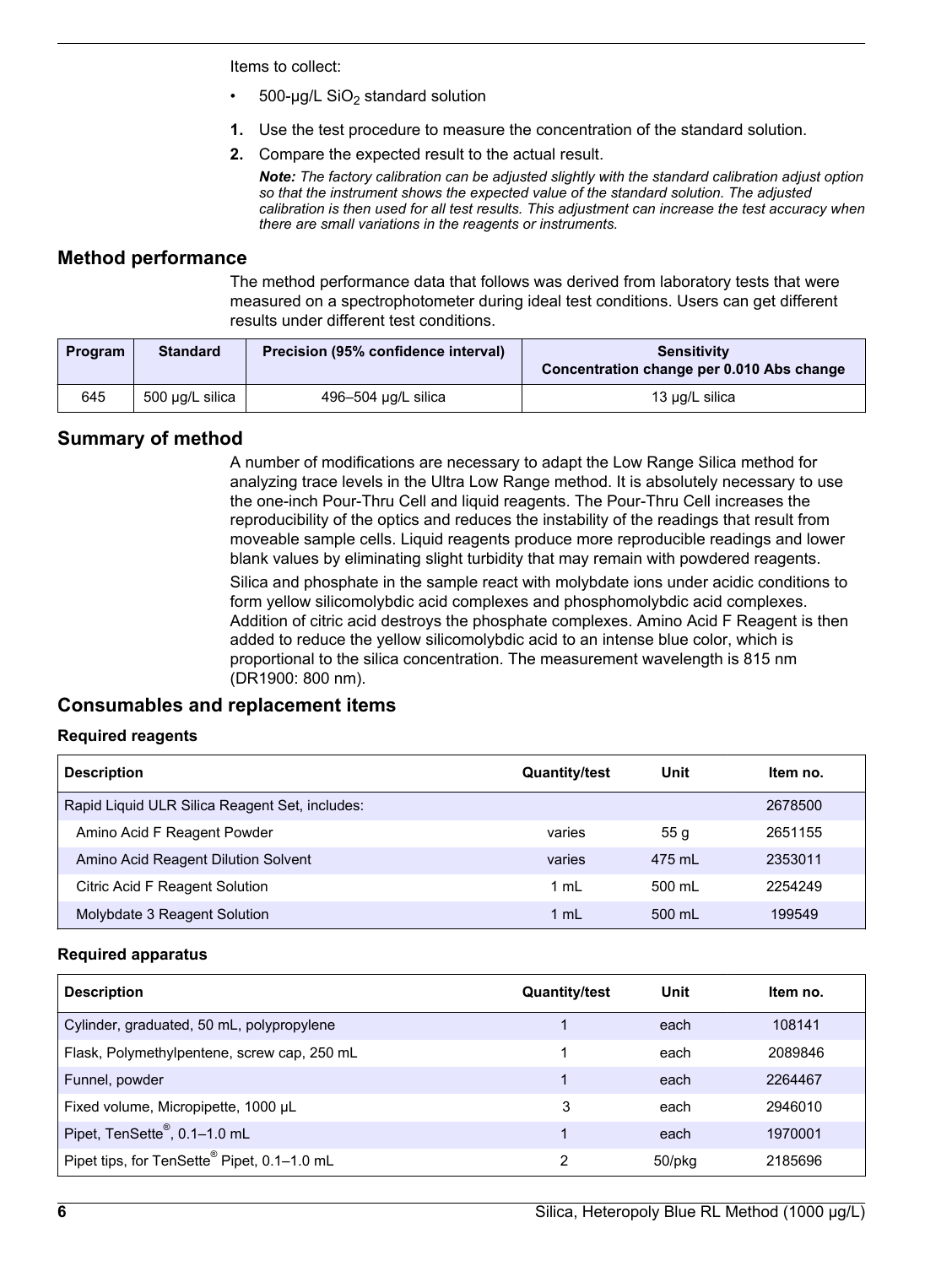<span id="page-5-0"></span>Items to collect:

- 500-µg/L  $SiO<sub>2</sub>$  standard solution
- **1.** Use the test procedure to measure the concentration of the standard solution.
- **2.** Compare the expected result to the actual result.

*Note: The factory calibration can be adjusted slightly with the standard calibration adjust option so that the instrument shows the expected value of the standard solution. The adjusted calibration is then used for all test results. This adjustment can increase the test accuracy when there are small variations in the reagents or instruments.*

### **Method performance**

The method performance data that follows was derived from laboratory tests that were measured on a spectrophotometer during ideal test conditions. Users can get different results under different test conditions.

| Program | <b>Standard</b> | Precision (95% confidence interval) | <b>Sensitivity</b><br>Concentration change per 0.010 Abs change |
|---------|-----------------|-------------------------------------|-----------------------------------------------------------------|
| 645     | 500 μg/L silica | 496-504 µg/L silica                 | 13 µg/L silica                                                  |

## **Summary of method**

A number of modifications are necessary to adapt the Low Range Silica method for analyzing trace levels in the Ultra Low Range method. It is absolutely necessary to use the one-inch Pour-Thru Cell and liquid reagents. The Pour-Thru Cell increases the reproducibility of the optics and reduces the instability of the readings that result from moveable sample cells. Liquid reagents produce more reproducible readings and lower blank values by eliminating slight turbidity that may remain with powdered reagents.

Silica and phosphate in the sample react with molybdate ions under acidic conditions to form yellow silicomolybdic acid complexes and phosphomolybdic acid complexes. Addition of citric acid destroys the phosphate complexes. Amino Acid F Reagent is then added to reduce the yellow silicomolybdic acid to an intense blue color, which is proportional to the silica concentration. The measurement wavelength is 815 nm (DR1900: 800 nm).

# **Consumables and replacement items**

### **Required reagents**

| <b>Description</b>                             | <b>Quantity/test</b> | Unit             | Item no. |
|------------------------------------------------|----------------------|------------------|----------|
| Rapid Liquid ULR Silica Reagent Set, includes: |                      |                  | 2678500  |
| Amino Acid F Reagent Powder                    | varies               | 55q              | 2651155  |
| Amino Acid Reagent Dilution Solvent            | varies               | 475 ml           | 2353011  |
| Citric Acid F Reagent Solution                 | 1 ml                 | 500 ml           | 2254249  |
| Molybdate 3 Reagent Solution                   | 1 $mL$               | $500 \text{ ml}$ | 199549   |

#### **Required apparatus**

| <b>Description</b>                                      | <b>Quantity/test</b> | Unit   | Item no. |
|---------------------------------------------------------|----------------------|--------|----------|
| Cylinder, graduated, 50 mL, polypropylene               |                      | each   | 108141   |
| Flask, Polymethylpentene, screw cap, 250 mL             |                      | each   | 2089846  |
| Funnel, powder                                          |                      | each   | 2264467  |
| Fixed volume, Micropipette, 1000 µL                     | 3                    | each   | 2946010  |
| Pipet, TenSette <sup>®</sup> , 0.1-1.0 mL               |                      | each   | 1970001  |
| Pipet tips, for TenSette <sup>®</sup> Pipet, 0.1-1.0 mL | າ                    | 50/pkg | 2185696  |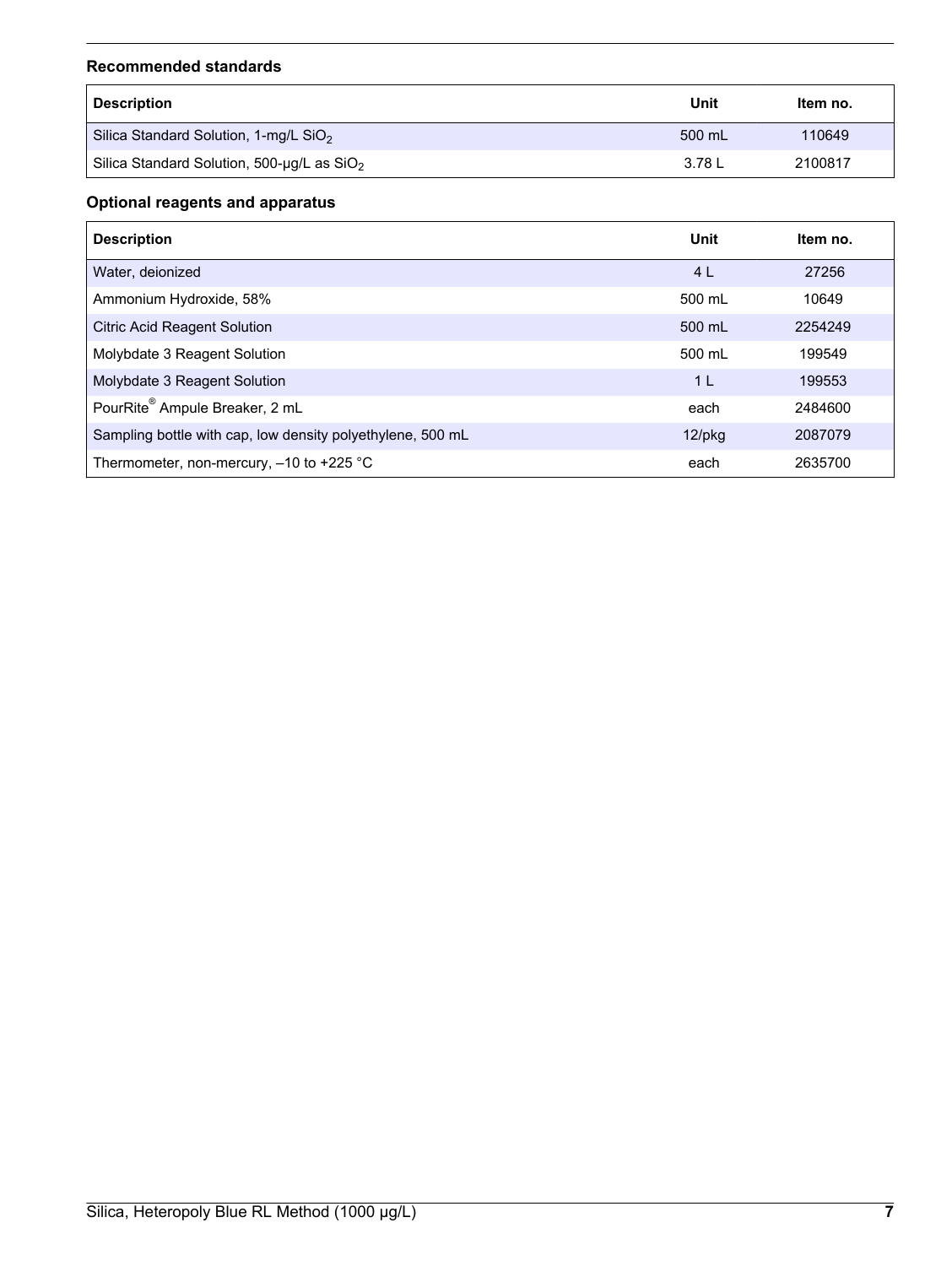#### **Recommended standards**

| <b>Description</b>                           | Unit   | ltem no. |
|----------------------------------------------|--------|----------|
| Silica Standard Solution, 1-mg/L $SiO2$      | 500 mL | 110649   |
| Silica Standard Solution, 500-µg/L as $SiO2$ | 3.78 L | 2100817  |

## **Optional reagents and apparatus**

| <b>Description</b>                                         | Unit           | Item no. |
|------------------------------------------------------------|----------------|----------|
| Water, deionized                                           | 4 <sub>L</sub> | 27256    |
| Ammonium Hydroxide, 58%                                    | 500 ml         | 10649    |
| <b>Citric Acid Reagent Solution</b>                        | 500 mL         | 2254249  |
| Molybdate 3 Reagent Solution                               | 500 mL         | 199549   |
| Molybdate 3 Reagent Solution                               | 1 <sup>L</sup> | 199553   |
| PourRite® Ampule Breaker, 2 mL                             | each           | 2484600  |
| Sampling bottle with cap, low density polyethylene, 500 mL | $12$ /pkg      | 2087079  |
| Thermometer, non-mercury, -10 to +225 °C                   | each           | 2635700  |